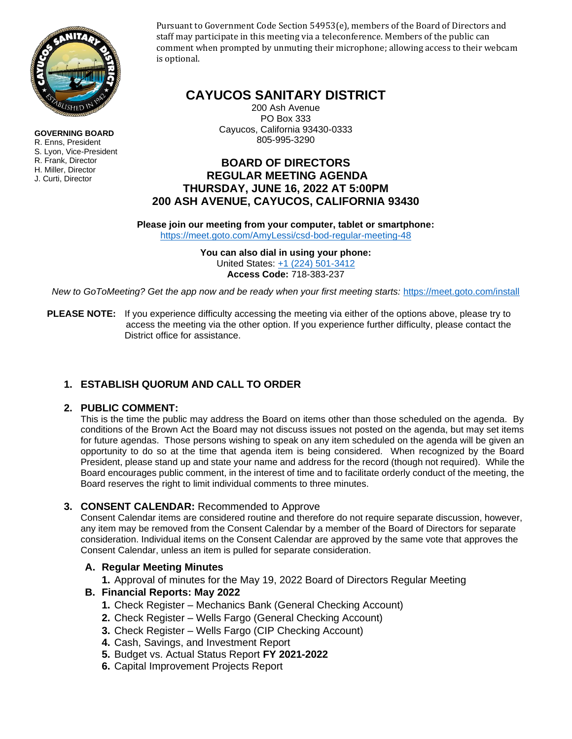

**GOVERNING BOARD** R. Enns, President S. Lyon, Vice-President R. Frank, Director H. Miller, Director J. Curti, Director

Pursuant to Government Code Section 54953(e), members of the Board of Directors and staff may participate in this meeting via a teleconference. Members of the public can comment when prompted by unmuting their microphone; allowing access to their webcam is optional.

# **CAYUCOS SANITARY DISTRICT**

200 Ash Avenue PO Box 333 Cayucos, California 93430-0333 805-995-3290

## **BOARD OF DIRECTORS REGULAR MEETING AGENDA THURSDAY, JUNE 16, 2022 AT 5:00PM 200 ASH AVENUE, CAYUCOS, CALIFORNIA 93430**

**Please join our meeting from your computer, tablet or smartphone:**  <https://meet.goto.com/AmyLessi/csd-bod-regular-meeting-48>

> **You can also dial in using your phone:**  United States: [+1 \(224\) 501-3412](tel:+12245013412,,718383237) **Access Code:** 718-383-237

*New to GoToMeeting? Get the app now and be ready when your first meeting starts:* <https://meet.goto.com/install>

**PLEASE NOTE:** If you experience difficulty accessing the meeting via either of the options above, please try to access the meeting via the other option. If you experience further difficulty, please contact the District office for assistance.

## **1. ESTABLISH QUORUM AND CALL TO ORDER**

## **2. PUBLIC COMMENT:**

This is the time the public may address the Board on items other than those scheduled on the agenda. By conditions of the Brown Act the Board may not discuss issues not posted on the agenda, but may set items for future agendas. Those persons wishing to speak on any item scheduled on the agenda will be given an opportunity to do so at the time that agenda item is being considered. When recognized by the Board President, please stand up and state your name and address for the record (though not required). While the Board encourages public comment, in the interest of time and to facilitate orderly conduct of the meeting, the Board reserves the right to limit individual comments to three minutes.

### **3. CONSENT CALENDAR:** Recommended to Approve

Consent Calendar items are considered routine and therefore do not require separate discussion, however, any item may be removed from the Consent Calendar by a member of the Board of Directors for separate consideration. Individual items on the Consent Calendar are approved by the same vote that approves the Consent Calendar, unless an item is pulled for separate consideration.

### **A. Regular Meeting Minutes**

**1.** Approval of minutes for the May 19, 2022 Board of Directors Regular Meeting

## **B. Financial Reports: May 2022**

- **1.** Check Register Mechanics Bank (General Checking Account)
- **2.** Check Register Wells Fargo (General Checking Account)
- **3.** Check Register Wells Fargo (CIP Checking Account)
- **4.** Cash, Savings, and Investment Report
- **5.** Budget vs. Actual Status Report **FY 2021-2022**
- **6.** Capital Improvement Projects Report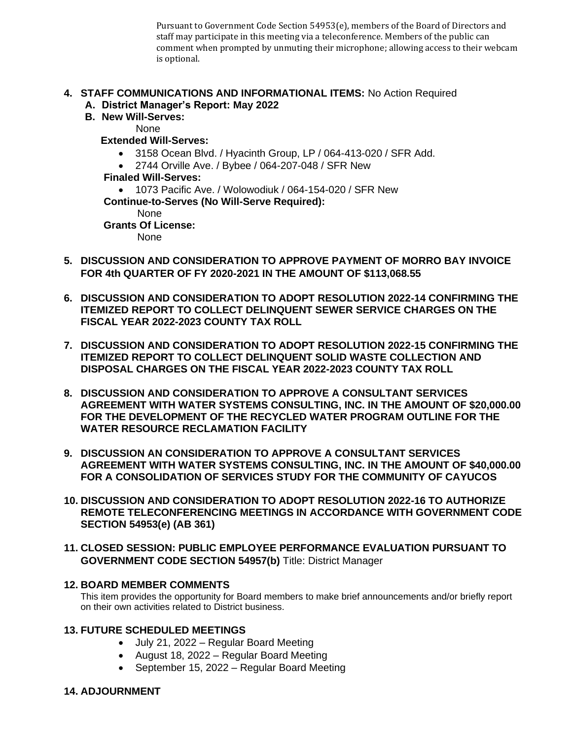Pursuant to Government Code Section 54953(e), members of the Board of Directors and staff may participate in this meeting via a teleconference. Members of the public can comment when prompted by unmuting their microphone; allowing access to their webcam is optional.

## **4. STAFF COMMUNICATIONS AND INFORMATIONAL ITEMS:** No Action Required

- **A. District Manager's Report: May 2022**
- **B. New Will-Serves:**

None

- **Extended Will-Serves:** 
	- 3158 Ocean Blvd. / Hyacinth Group, LP / 064-413-020 / SFR Add.
	- 2744 Orville Ave. / Bybee / 064-207-048 / SFR New

 **Finaled Will-Serves:** 

• 1073 Pacific Ave. / Wolowodiuk / 064-154-020 / SFR New

**Continue-to-Serves (No Will-Serve Required):**

**None** 

 **Grants Of License:** 

None

- **5. DISCUSSION AND CONSIDERATION TO APPROVE PAYMENT OF MORRO BAY INVOICE FOR 4th QUARTER OF FY 2020-2021 IN THE AMOUNT OF \$113,068.55**
- **6. DISCUSSION AND CONSIDERATION TO ADOPT RESOLUTION 2022-14 CONFIRMING THE ITEMIZED REPORT TO COLLECT DELINQUENT SEWER SERVICE CHARGES ON THE FISCAL YEAR 2022-2023 COUNTY TAX ROLL**
- **7. DISCUSSION AND CONSIDERATION TO ADOPT RESOLUTION 2022-15 CONFIRMING THE ITEMIZED REPORT TO COLLECT DELINQUENT SOLID WASTE COLLECTION AND DISPOSAL CHARGES ON THE FISCAL YEAR 2022-2023 COUNTY TAX ROLL**
- **8. DISCUSSION AND CONSIDERATION TO APPROVE A CONSULTANT SERVICES AGREEMENT WITH WATER SYSTEMS CONSULTING, INC. IN THE AMOUNT OF \$20,000.00 FOR THE DEVELOPMENT OF THE RECYCLED WATER PROGRAM OUTLINE FOR THE WATER RESOURCE RECLAMATION FACILITY**
- **9. DISCUSSION AN CONSIDERATION TO APPROVE A CONSULTANT SERVICES AGREEMENT WITH WATER SYSTEMS CONSULTING, INC. IN THE AMOUNT OF \$40,000.00 FOR A CONSOLIDATION OF SERVICES STUDY FOR THE COMMUNITY OF CAYUCOS**
- **10. DISCUSSION AND CONSIDERATION TO ADOPT RESOLUTION 2022-16 TO AUTHORIZE REMOTE TELECONFERENCING MEETINGS IN ACCORDANCE WITH GOVERNMENT CODE SECTION 54953(e) (AB 361)**
- **11. CLOSED SESSION: PUBLIC EMPLOYEE PERFORMANCE EVALUATION PURSUANT TO GOVERNMENT CODE SECTION 54957(b)** Title: District Manager

## **12. BOARD MEMBER COMMENTS**

This item provides the opportunity for Board members to make brief announcements and/or briefly report on their own activities related to District business.

### **13. FUTURE SCHEDULED MEETINGS**

- July 21, 2022 Regular Board Meeting
- August 18, 2022 Regular Board Meeting
- September 15, 2022 Regular Board Meeting

## **14. ADJOURNMENT**